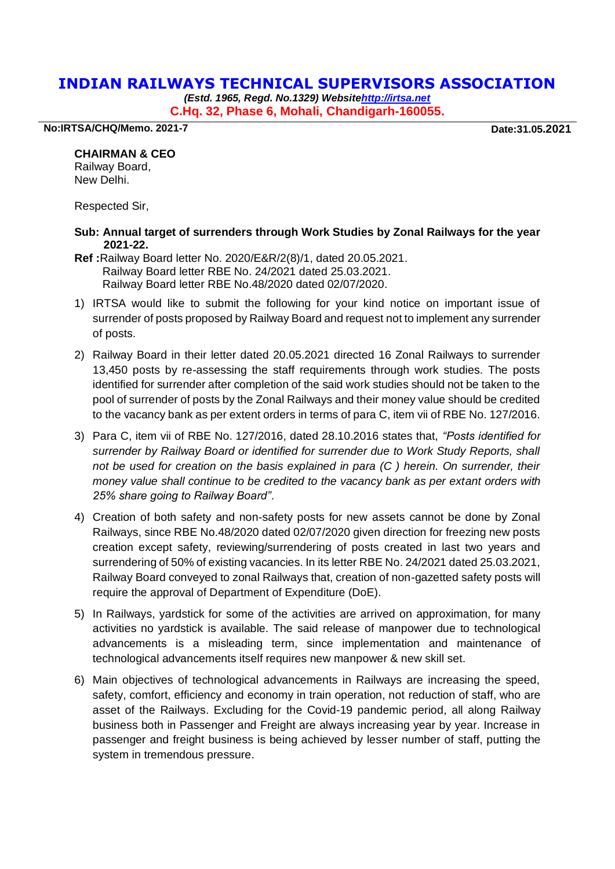## **INDIAN RAILWAYS TECHNICAL SUPERVISORS ASSOCIATION**

*(Estd. 1965, Regd. No.1329) Websit[ehttp://irtsa.net](http://irtsa.net/)* **C.Hq. 32, Phase 6, Mohali, Chandigarh-160055.**

**No:IRTSA/CHQ/Memo. 2021-7 Date:31.05.2021**

## **CHAIRMAN & CEO**

Railway Board, New Delhi.

Respected Sir,

- **Sub: Annual target of surrenders through Work Studies by Zonal Railways for the year 2021-22.**
- **Ref :**Railway Board letter No. 2020/E&R/2(8)/1, dated 20.05.2021. Railway Board letter RBE No. 24/2021 dated 25.03.2021. Railway Board letter RBE No.48/2020 dated 02/07/2020.
- 1) IRTSA would like to submit the following for your kind notice on important issue of surrender of posts proposed by Railway Board and request not to implement any surrender of posts.
- 2) Railway Board in their letter dated 20.05.2021 directed 16 Zonal Railways to surrender 13,450 posts by re-assessing the staff requirements through work studies. The posts identified for surrender after completion of the said work studies should not be taken to the pool of surrender of posts by the Zonal Railways and their money value should be credited to the vacancy bank as per extent orders in terms of para C, item vii of RBE No. 127/2016.
- 3) Para C, item vii of RBE No. 127/2016, dated 28.10.2016 states that, *"Posts identified for surrender by Railway Board or identified for surrender due to Work Study Reports, shall not be used for creation on the basis explained in para (C ) herein. On surrender, their money value shall continue to be credited to the vacancy bank as per extant orders with 25% share going to Railway Board"*.
- 4) Creation of both safety and non-safety posts for new assets cannot be done by Zonal Railways, since RBE No.48/2020 dated 02/07/2020 given direction for freezing new posts creation except safety, reviewing/surrendering of posts created in last two years and surrendering of 50% of existing vacancies. In its letter RBE No. 24/2021 dated 25.03.2021, Railway Board conveyed to zonal Railways that, creation of non-gazetted safety posts will require the approval of Department of Expenditure (DoE).
- 5) In Railways, yardstick for some of the activities are arrived on approximation, for many activities no yardstick is available. The said release of manpower due to technological advancements is a misleading term, since implementation and maintenance of technological advancements itself requires new manpower & new skill set.
- 6) Main objectives of technological advancements in Railways are increasing the speed, safety, comfort, efficiency and economy in train operation, not reduction of staff, who are asset of the Railways. Excluding for the Covid-19 pandemic period, all along Railway business both in Passenger and Freight are always increasing year by year. Increase in passenger and freight business is being achieved by lesser number of staff, putting the system in tremendous pressure.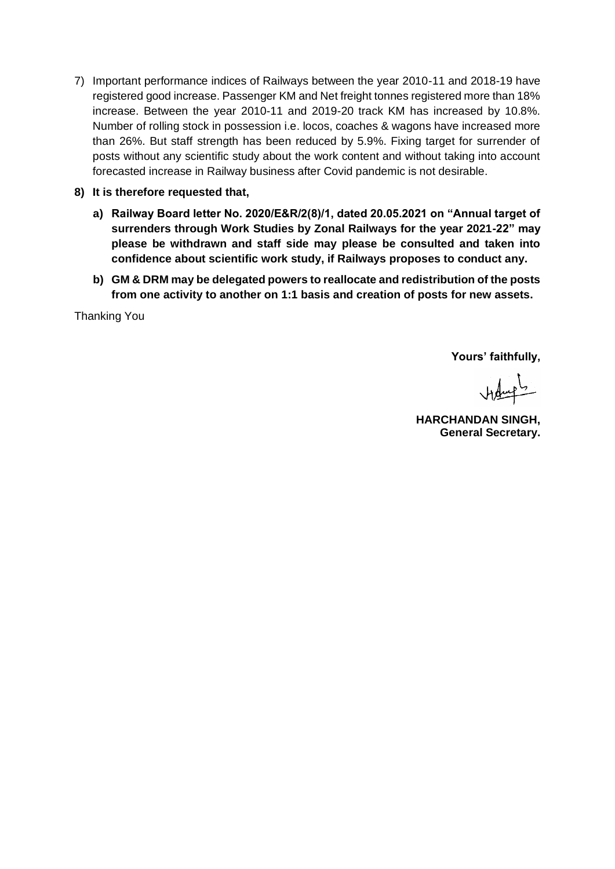- 7) Important performance indices of Railways between the year 2010-11 and 2018-19 have registered good increase. Passenger KM and Net freight tonnes registered more than 18% increase. Between the year 2010-11 and 2019-20 track KM has increased by 10.8%. Number of rolling stock in possession i.e. locos, coaches & wagons have increased more than 26%. But staff strength has been reduced by 5.9%. Fixing target for surrender of posts without any scientific study about the work content and without taking into account forecasted increase in Railway business after Covid pandemic is not desirable.
- **8) It is therefore requested that,** 
	- **a) Railway Board letter No. 2020/E&R/2(8)/1, dated 20.05.2021 on "Annual target of surrenders through Work Studies by Zonal Railways for the year 2021-22" may please be withdrawn and staff side may please be consulted and taken into confidence about scientific work study, if Railways proposes to conduct any.**
	- **b) GM & DRM may be delegated powers to reallocate and redistribution of the posts from one activity to another on 1:1 basis and creation of posts for new assets.**

Thanking You

**Yours' faithfully,**

Helmet

**HARCHANDAN SINGH, General Secretary.**